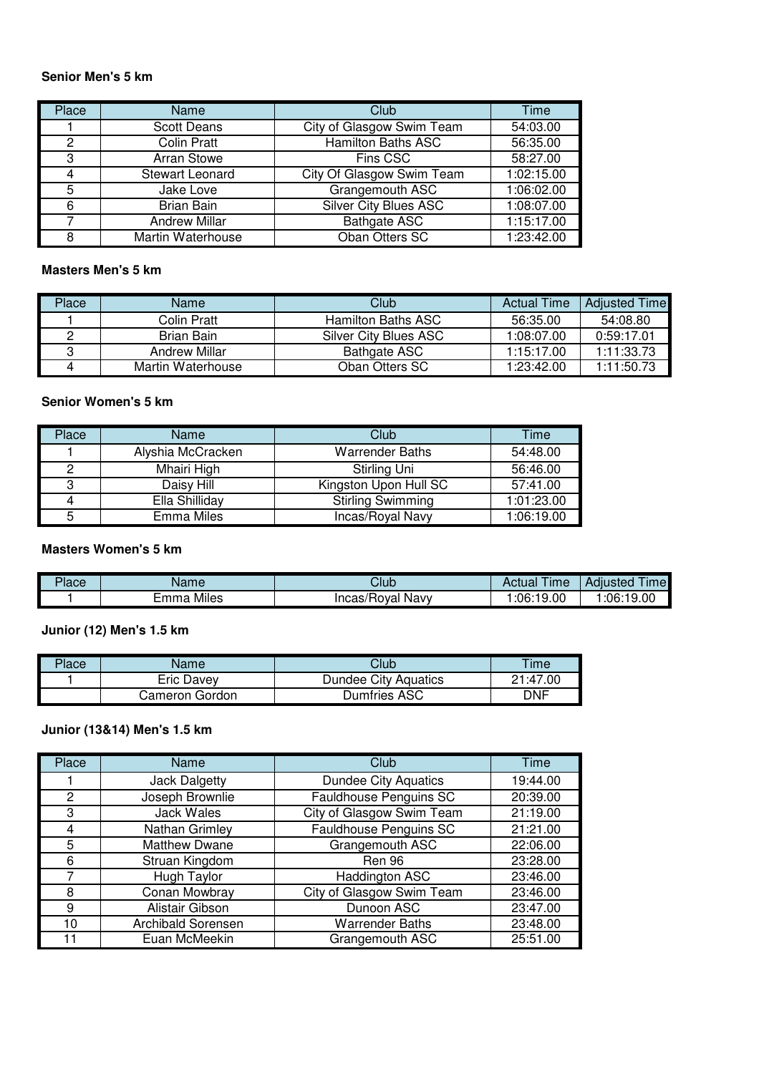#### **Senior Men's 5 km**

| Place | Name                   | Club                         | Time       |
|-------|------------------------|------------------------------|------------|
|       | <b>Scott Deans</b>     | City of Glasgow Swim Team    | 54:03.00   |
| 2     | <b>Colin Pratt</b>     | <b>Hamilton Baths ASC</b>    | 56:35.00   |
| 3     | <b>Arran Stowe</b>     | Fins CSC                     | 58:27.00   |
|       | <b>Stewart Leonard</b> | City Of Glasgow Swim Team    | 1:02:15.00 |
| 5     | Jake Love              | Grangemouth ASC              | 1:06:02.00 |
| 6     | <b>Brian Bain</b>      | <b>Silver City Blues ASC</b> | 1:08:07.00 |
|       | <b>Andrew Millar</b>   | <b>Bathgate ASC</b>          | 1:15:17.00 |
|       | Martin Waterhouse      | Oban Otters SC               | 1:23:42.00 |

#### **Masters Men's 5 km**

| Place | Name              | Club                         | <b>Actual Time</b> | <b>Adjusted Time</b> |
|-------|-------------------|------------------------------|--------------------|----------------------|
|       | Colin Pratt       | Hamilton Baths ASC           | 56:35.00           | 54:08.80             |
|       | Brian Bain        | <b>Silver City Blues ASC</b> | 1:08:07.00         | 0:59:17.01           |
|       | Andrew Millar     | Bathgate ASC                 | 1:15:17.00         | 1:11:33.73           |
|       | Martin Waterhouse | Oban Otters SC               | 1:23:42.00         | 1:11:50.73           |

### **Senior Women's 5 km**

| Place | Name              | Club <sup>1</sup>        | Time       |
|-------|-------------------|--------------------------|------------|
|       | Alyshia McCracken | <b>Warrender Baths</b>   | 54:48.00   |
|       | Mhairi High       | Stirling Uni             | 56:46.00   |
| 3     | Daisy Hill        | Kingston Upon Hull SC    | 57:41.00   |
|       | Ella Shilliday    | <b>Stirling Swimming</b> | 1:01:23.00 |
| 5     | <b>Emma Miles</b> | Incas/Royal Navy         | 1:06:19.00 |

### **Masters Women's 5 km**

| Place | Name               | Club                      | ime<br>Actual | $\cdots$<br>Adiusted<br><b>Imel</b> |
|-------|--------------------|---------------------------|---------------|-------------------------------------|
|       | .<br>Miles<br>Emma | Navy<br>'Rovai<br>Incas/I | 06:19.00: ا   | 19.00.06:19∶                        |

# **Junior (12) Men's 1.5 km**

| Place | Name           | Club                 | Time  |
|-------|----------------|----------------------|-------|
|       | Eric Davev     | Dundee City Aquatics | 21.47 |
|       | Cameron Gordon | Dumfries ASC         | DNF   |

# **Junior (13&14) Men's 1.5 km**

| Place | Name                      | Club                          | Time     |
|-------|---------------------------|-------------------------------|----------|
|       | <b>Jack Dalgetty</b>      | <b>Dundee City Aquatics</b>   | 19:44.00 |
| 2     | Joseph Brownlie           | <b>Fauldhouse Penguins SC</b> | 20:39.00 |
| 3     | <b>Jack Wales</b>         | City of Glasgow Swim Team     | 21:19.00 |
| 4     | Nathan Grimley            | <b>Fauldhouse Penguins SC</b> | 21:21.00 |
| 5     | <b>Matthew Dwane</b>      | Grangemouth ASC               | 22:06.00 |
| 6     | Struan Kingdom            | Ren 96                        | 23:28.00 |
| 7     | Hugh Taylor               | <b>Haddington ASC</b>         | 23:46.00 |
| 8     | Conan Mowbray             | City of Glasgow Swim Team     | 23:46.00 |
| 9     | Alistair Gibson           | Dunoon ASC                    | 23:47.00 |
| 10    | <b>Archibald Sorensen</b> | <b>Warrender Baths</b>        | 23:48.00 |
| 11    | Euan McMeekin             | Grangemouth ASC               | 25:51.00 |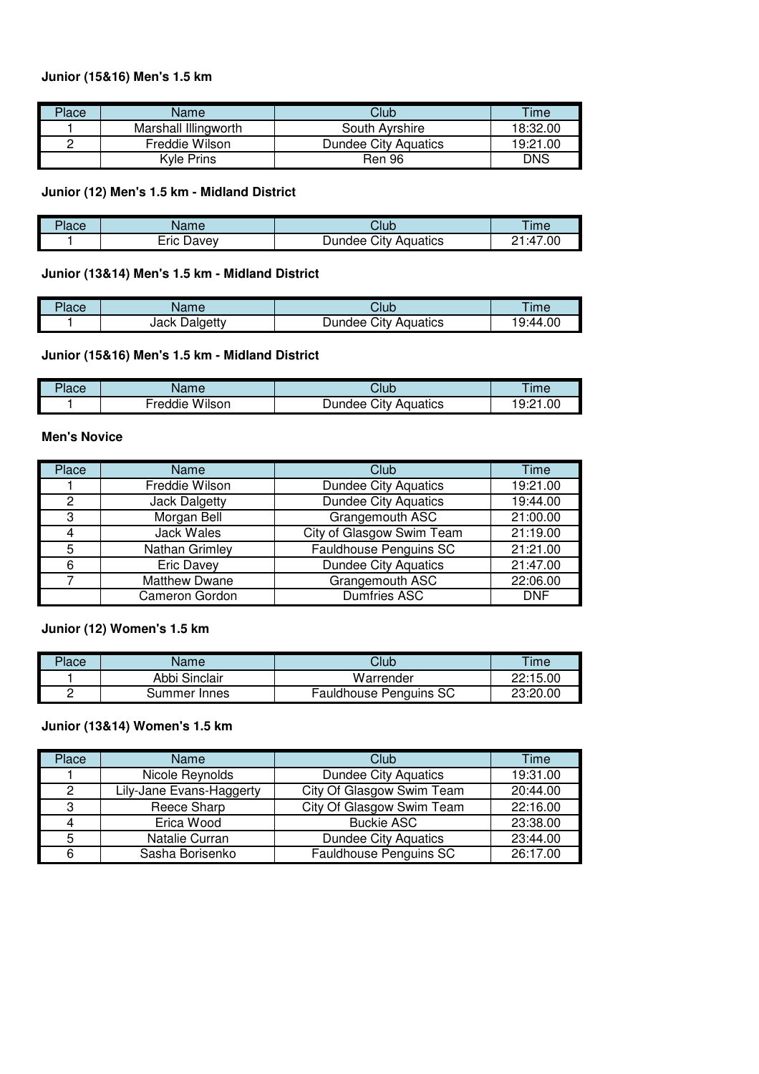### **Junior (15&16) Men's 1.5 km**

| Place | Name                 | Club                        | Time     |
|-------|----------------------|-----------------------------|----------|
|       | Marshall Illingworth | South Ayrshire              | 18:32.00 |
|       | Freddie Wilson       | <b>Dundee City Aquatics</b> | 19:21.00 |
|       | Kyle Prins           | <b>Ren 96</b>               | DNS      |

### **Junior (12) Men's 1.5 km - Midland District**

| יר<br>'lace | $\sim$ $\sim$<br><b>Nalle</b> | Club                              | ime                                  |
|-------------|-------------------------------|-----------------------------------|--------------------------------------|
|             | - -<br>∟ric<br>⊃avev          | City<br>Aquatics<br>JUNC.<br>ıdee | $^{\circ}.00$<br>-<br>$\cdot$ 1<br>- |

## **Junior (13&14) Men's 1.5 km - Midland District**

| Place | Name             | Club                       | ™e      |
|-------|------------------|----------------------------|---------|
|       | Dalgetty<br>Jack | City<br>Aquatics<br>Jundee | 9:44.00 |

#### **Junior (15&16) Men's 1.5 km - Midland District**

| <b>lace</b> | $\sim$ $\sim$ $\sim$ | Jlub                     | ime                        |
|-------------|----------------------|--------------------------|----------------------------|
|             | Wilson<br>-reddie    | ان.<br>Aquatics<br>undee | .00<br><b>u</b> .,<br>ے. ت |

#### **Men's Novice**

| Place | Name                  | Club                          | Time       |
|-------|-----------------------|-------------------------------|------------|
|       | Freddie Wilson        | <b>Dundee City Aquatics</b>   | 19:21.00   |
| 2     | Jack Dalgetty         | <b>Dundee City Aquatics</b>   | 19:44.00   |
| 3     | Morgan Bell           | Grangemouth ASC               | 21:00.00   |
| 4     | Jack Wales            | City of Glasgow Swim Team     | 21:19.00   |
| 5     | <b>Nathan Grimley</b> | <b>Fauldhouse Penguins SC</b> | 21:21.00   |
| 6     | <b>Eric Davey</b>     | <b>Dundee City Aquatics</b>   | 21:47.00   |
|       | <b>Matthew Dwane</b>  | Grangemouth ASC               | 22:06.00   |
|       | Cameron Gordon        | <b>Dumfries ASC</b>           | <b>DNF</b> |

### **Junior (12) Women's 1.5 km**

| Place | Name          | Club                          | Time     |
|-------|---------------|-------------------------------|----------|
|       | Abbi Sinclair | Warrender                     | 22:15.00 |
|       | Summer Innes  | <b>Fauldhouse Penguins SC</b> | 23:20.00 |

### **Junior (13&14) Women's 1.5 km**

| Place | <b>Name</b>              | Club                        | Time     |
|-------|--------------------------|-----------------------------|----------|
|       | Nicole Reynolds          | <b>Dundee City Aquatics</b> | 19:31.00 |
| 2     | Lily-Jane Evans-Haggerty | City Of Glasgow Swim Team   | 20:44.00 |
| 3     | Reece Sharp              | City Of Glasgow Swim Team   | 22:16.00 |
|       | Erica Wood               | <b>Buckie ASC</b>           | 23:38.00 |
| 5     | Natalie Curran           | <b>Dundee City Aquatics</b> | 23:44.00 |
|       | Sasha Borisenko          | Fauldhouse Penguins SC      | 26:17.00 |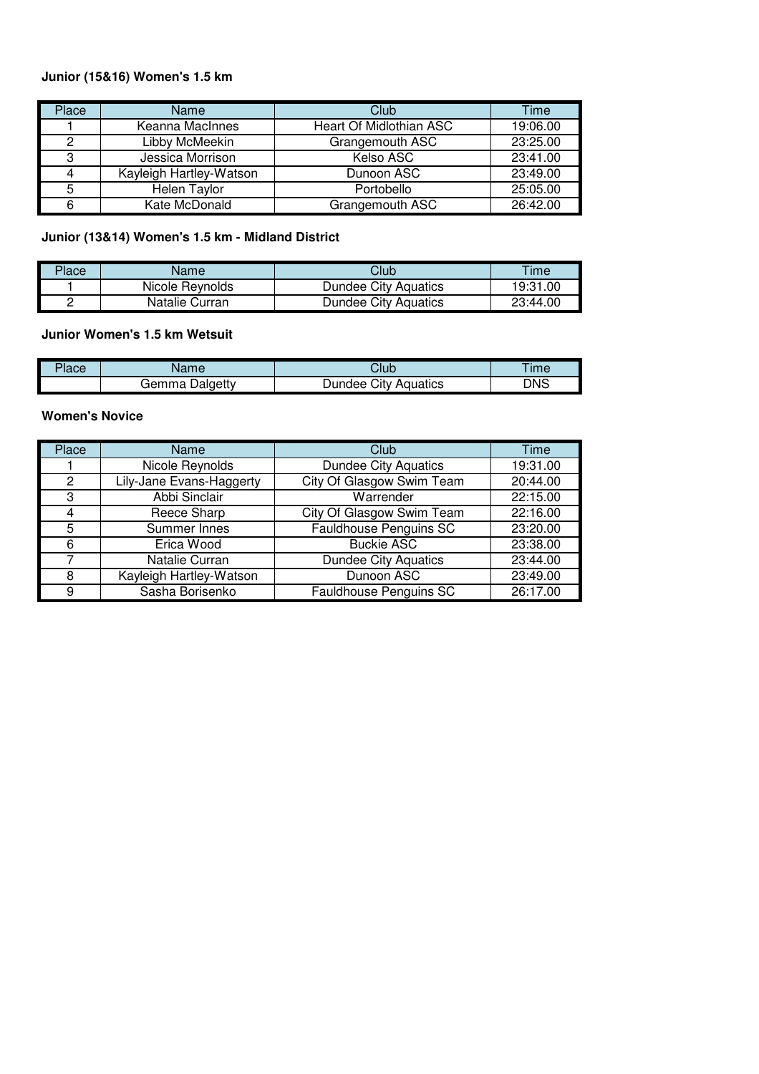## **Junior (15&16) Women's 1.5 km**

| Place | Name                    | <b>Club</b>             | Time     |
|-------|-------------------------|-------------------------|----------|
|       | Keanna MacInnes         | Heart Of Midlothian ASC | 19:06.00 |
| っ     | Libby McMeekin          | Grangemouth ASC         | 23:25.00 |
| 3     | Jessica Morrison        | Kelso ASC               | 23:41.00 |
|       | Kayleigh Hartley-Watson | Dunoon ASC              | 23:49.00 |
| 5     | Helen Taylor            | Portobello              | 25:05.00 |
| 6     | Kate McDonald           | Grangemouth ASC         | 26:42.00 |

# **Junior (13&14) Women's 1.5 km - Midland District**

| Place | Name            | Club                 | Time     |
|-------|-----------------|----------------------|----------|
|       | Nicole Reynolds | Dundee City Aquatics | 19:31.00 |
|       | Natalie Curran  | Dundee City Aquatics | 23:44.00 |

## **Junior Women's 1.5 km Wetsuit**

| 'lace | vame              | Jlub                       | ime        |
|-------|-------------------|----------------------------|------------|
|       | Dalgetty<br>Gemma | City<br>Aquatics<br>Jundee | <b>DNS</b> |

## **Women's Novice**

| Place | Name                     | Club                          | Time     |
|-------|--------------------------|-------------------------------|----------|
|       | Nicole Reynolds          | <b>Dundee City Aquatics</b>   | 19:31.00 |
| 2     | Lily-Jane Evans-Haggerty | City Of Glasgow Swim Team     | 20:44.00 |
| 3     | Abbi Sinclair            | Warrender                     | 22:15.00 |
| 4     | Reece Sharp              | City Of Glasgow Swim Team     | 22:16.00 |
| 5     | Summer Innes             | Fauldhouse Penguins SC        | 23:20.00 |
| 6     | Erica Wood               | <b>Buckie ASC</b>             | 23:38.00 |
|       | Natalie Curran           | <b>Dundee City Aquatics</b>   | 23:44.00 |
| 8     | Kayleigh Hartley-Watson  | Dunoon ASC                    | 23:49.00 |
| 9     | Sasha Borisenko          | <b>Fauldhouse Penguins SC</b> | 26:17.00 |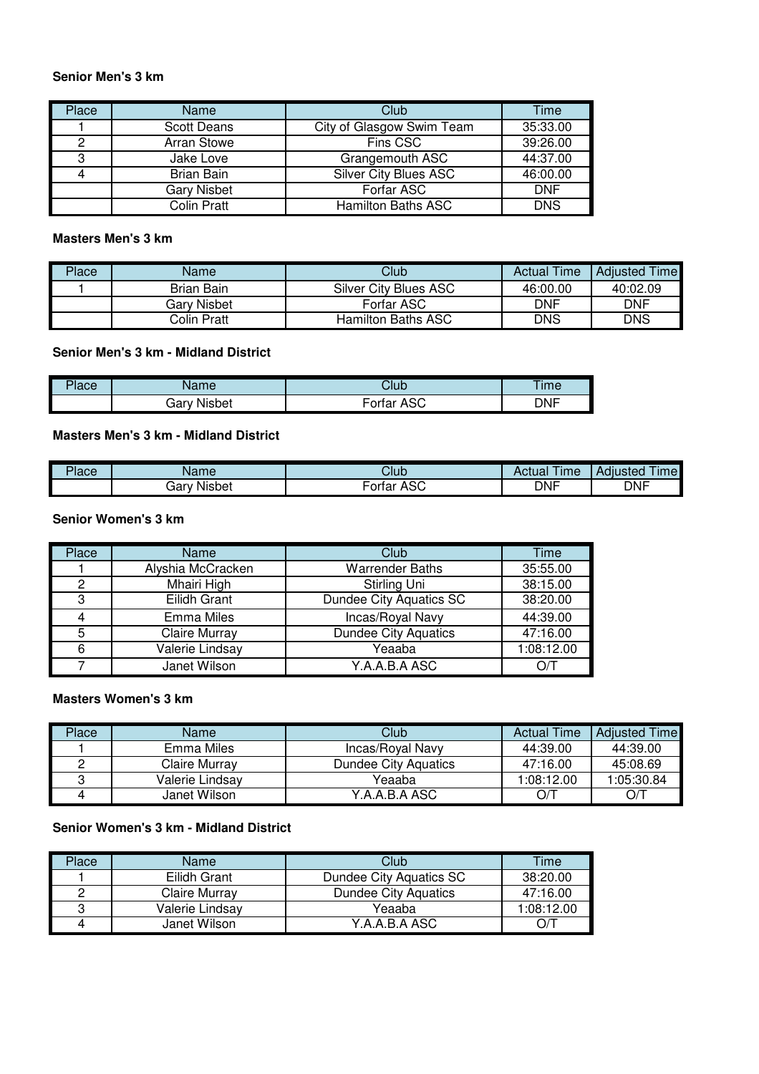#### **Senior Men's 3 km**

| Place | <b>Name</b>        | Club                         | Time       |
|-------|--------------------|------------------------------|------------|
|       | <b>Scott Deans</b> | City of Glasgow Swim Team    | 35:33.00   |
| 0     | <b>Arran Stowe</b> | Fins CSC                     | 39:26.00   |
| 3     | Jake Love          | Grangemouth ASC              | 44:37.00   |
|       | <b>Brian Bain</b>  | <b>Silver City Blues ASC</b> | 46:00.00   |
|       | <b>Gary Nisbet</b> | Forfar ASC                   | <b>DNF</b> |
|       | <b>Colin Pratt</b> | <b>Hamilton Baths ASC</b>    | <b>DNS</b> |

### **Masters Men's 3 km**

| Place | Name        | Club                      | <b>Actual Time</b> | <b>Adjusted Time</b> |
|-------|-------------|---------------------------|--------------------|----------------------|
|       | Brian Bain  | Silver City Blues ASC     | 46:00.00           | 40:02.09             |
|       | Gary Nisbet | Forfar ASC                | <b>DNF</b>         | <b>DNF</b>           |
|       | Colin Pratt | <b>Hamilton Baths ASC</b> | <b>DNS</b>         | DNS                  |

### **Senior Men's 3 km - Midland District**

| Place | Name        | Club                 | Time       |
|-------|-------------|----------------------|------------|
|       | Gary Nisbet | ASC<br><b>Fortar</b> | <b>DNF</b> |

## **Masters Men's 3 km - Midland District**

| Place | n m د<br>vanie    | Club                           | ∣ıme<br>Ruudi | imel<br>Adıusted |
|-------|-------------------|--------------------------------|---------------|------------------|
|       | <br>dar<br>Nisbet | $\sim$<br>--<br>ortar<br>AJU – | <b>DNF</b>    | <b>DNF</b>       |

#### **Senior Women's 3 km**

| <b>Place</b> | Name                 | Club                        | Time       |
|--------------|----------------------|-----------------------------|------------|
|              | Alyshia McCracken    | <b>Warrender Baths</b>      | 35:55.00   |
| 2            | Mhairi High          | Stirling Uni                | 38:15.00   |
| 3            | Eilidh Grant         | Dundee City Aquatics SC     | 38:20.00   |
|              | <b>Emma Miles</b>    | Incas/Royal Navy            | 44:39.00   |
| 5            | <b>Claire Murray</b> | <b>Dundee City Aquatics</b> | 47:16.00   |
| 6            | Valerie Lindsay      | Yeaaba                      | 1:08:12.00 |
|              | Janet Wilson         | Y.A.A.B.A ASC               |            |

#### **Masters Women's 3 km**

| Place | Name            | Club                        | <b>Actual Time</b> | Adjusted Time |
|-------|-----------------|-----------------------------|--------------------|---------------|
|       | Emma Miles      | Incas/Roval Navy            | 44:39.00           | 44:39.00      |
|       | Claire Murrav   | <b>Dundee City Aquatics</b> | 47:16.00           | 45:08.69      |
|       | Valerie Lindsav | Yeaaba                      | 1:08:12.00         | 1:05:30.84    |
|       | Janet Wilson    | Y.A.A.B.A ASC               | O/1                | D/C           |

#### **Senior Women's 3 km - Midland District**

| Place | Name            | Club                        | Time       |
|-------|-----------------|-----------------------------|------------|
|       | Eilidh Grant    | Dundee City Aquatics SC     | 38:20.00   |
|       | Claire Murray   | <b>Dundee City Aquatics</b> | 47:16.00   |
|       | Valerie Lindsav | Yeaaba                      | 1:08:12.00 |
|       | Janet Wilson    | Y.A.A.B.A ASC               | O/1        |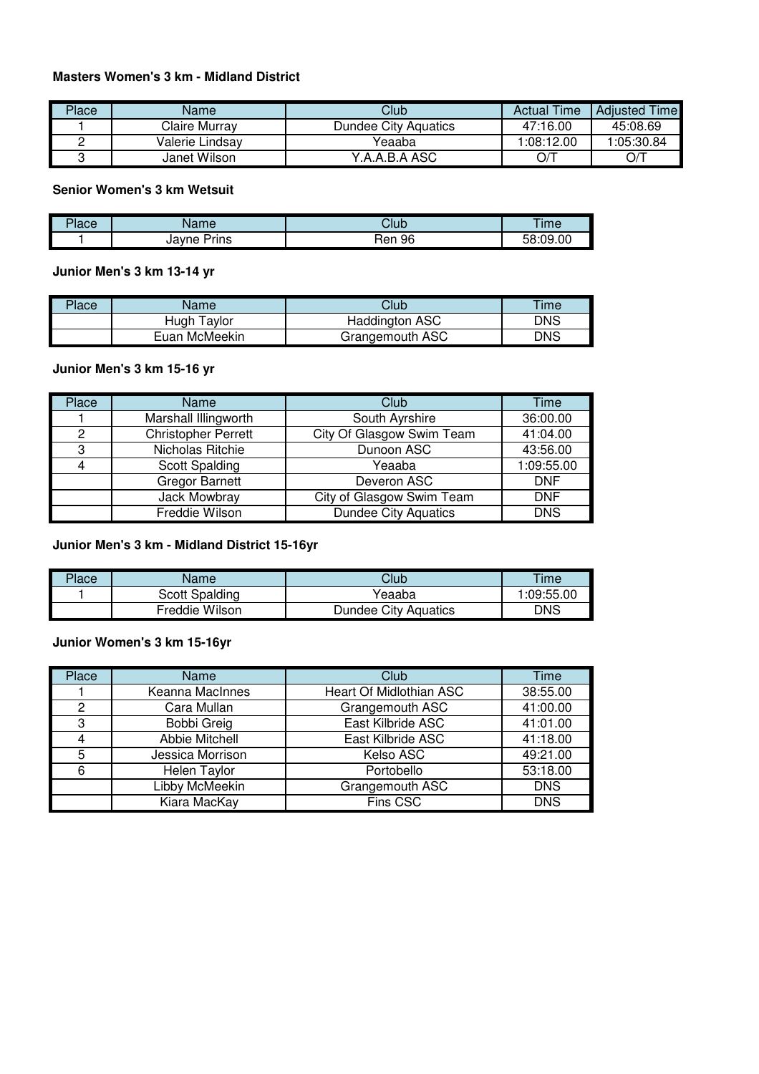## **Masters Women's 3 km - Midland District**

| Place | Name            | Club                 | <b>Actual Time</b> | <b>Adjusted Time</b> |
|-------|-----------------|----------------------|--------------------|----------------------|
|       | Claire Murray   | Dundee City Aquatics | 47:16.00           | 45:08.69             |
|       | Valerie Lindsav | Yeaaba               | :08:12.00          | 05:30.84. ا          |
|       | Janet Wilson    | Y.A.A.B.A ASC        | O/T                | D/T                  |

### **Senior Women's 3 km Wetsuit**

| - 1  | $\overline{\phantom{a}}$ | <b></b>   | <b>Ime</b>           |
|------|--------------------------|-----------|----------------------|
| lace | vanie                    | Vlut      |                      |
|      | avne:<br>Prins<br>JdY    | 96<br>Ren | - -<br>3:09.00<br>эс |

## **Junior Men's 3 km 13-14 yr**

| Place | Name            | Club                  | Time |
|-------|-----------------|-----------------------|------|
|       | . avlor<br>Hugh | <b>Haddington ASC</b> | DNS  |
|       | Euan McMeekin   | Grangemouth ASC       | DNS  |

#### **Junior Men's 3 km 15-16 yr**

| Place | Name                       | Club                        | Time       |
|-------|----------------------------|-----------------------------|------------|
|       | Marshall Illingworth       | South Ayrshire              | 36:00.00   |
| 2     | <b>Christopher Perrett</b> | City Of Glasgow Swim Team   | 41:04.00   |
| 3     | Nicholas Ritchie           | Dunoon ASC                  | 43:56.00   |
|       | Scott Spalding             | Yeaaba                      | 1:09:55.00 |
|       | <b>Gregor Barnett</b>      | Deveron ASC                 | <b>DNF</b> |
|       | Jack Mowbray               | City of Glasgow Swim Team   | <b>DNF</b> |
|       | Freddie Wilson             | <b>Dundee City Aquatics</b> | <b>DNS</b> |

### **Junior Men's 3 km - Midland District 15-16yr**

| Place | Name           | Club                        | Time        |
|-------|----------------|-----------------------------|-------------|
|       | Scott Spalding | Yeaaba                      | 09:55.00: ا |
|       | Freddie Wilson | <b>Dundee City Aquatics</b> | DNS         |

# **Junior Women's 3 km 15-16yr**

| Place | Name                | Club                    | Time       |
|-------|---------------------|-------------------------|------------|
|       | Keanna MacInnes     | Heart Of Midlothian ASC | 38:55.00   |
| 2     | Cara Mullan         | Grangemouth ASC         | 41:00.00   |
| З     | <b>Bobbi Greig</b>  | East Kilbride ASC       | 41:01.00   |
|       | Abbie Mitchell      | East Kilbride ASC       | 41:18.00   |
| 5     | Jessica Morrison    | Kelso ASC               | 49:21.00   |
| 6     | <b>Helen Taylor</b> | Portobello              | 53:18.00   |
|       | Libby McMeekin      | Grangemouth ASC         | <b>DNS</b> |
|       | Kiara MacKay        | Fins CSC                | <b>DNS</b> |